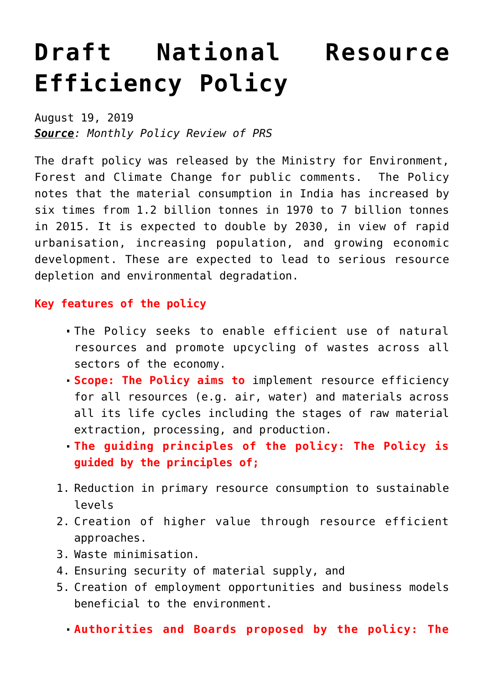## **[Draft National Resource](https://journalsofindia.com/draft-national-resource-efficiency-policy/) [Efficiency Policy](https://journalsofindia.com/draft-national-resource-efficiency-policy/)**

August 19, 2019 *Source: Monthly Policy Review of PRS*

The draft policy was released by the Ministry for Environment, Forest and Climate Change for public comments. The Policy notes that the material consumption in India has increased by six times from 1.2 billion tonnes in 1970 to 7 billion tonnes in 2015. It is expected to double by 2030, in view of rapid urbanisation, increasing population, and growing economic development. These are expected to lead to serious resource depletion and environmental degradation.

## **Key features of the policy**

- The Policy seeks to enable efficient use of natural resources and promote upcycling of wastes across all sectors of the economy.
- **Scope: The Policy aims to** implement resource efficiency for all resources (e.g. air, water) and materials across all its life cycles including the stages of raw material extraction, processing, and production.
- **The guiding principles of the policy: The Policy is guided by the principles of;**
- 1. Reduction in primary resource consumption to sustainable levels
- 2. Creation of higher value through resource efficient approaches.
- 3. Waste minimisation.
- 4. Ensuring security of material supply, and
- 5. Creation of employment opportunities and business models beneficial to the environment.
	- **Authorities and Boards proposed by the policy: The**